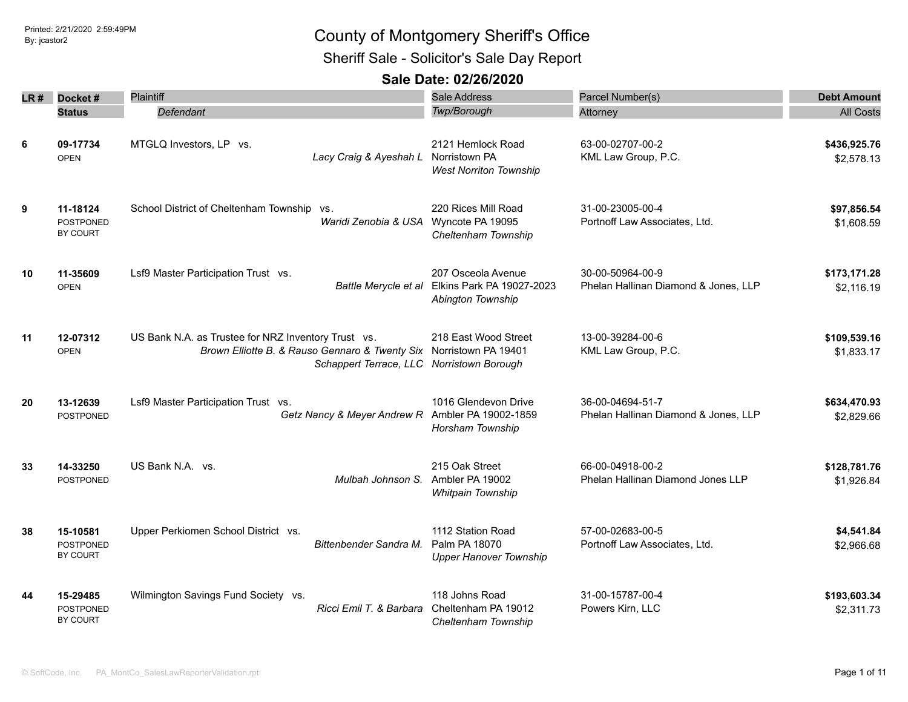Sheriff Sale - Solicitor's Sale Day Report

| LR # | Docket#                                         | Plaintiff                                                                                                                                                              | Sale Address<br>Twp/Borough                                          | Parcel Number(s)                                         | <b>Debt Amount</b>         |
|------|-------------------------------------------------|------------------------------------------------------------------------------------------------------------------------------------------------------------------------|----------------------------------------------------------------------|----------------------------------------------------------|----------------------------|
|      | <b>Status</b>                                   | Defendant                                                                                                                                                              |                                                                      | Attorney                                                 | <b>All Costs</b>           |
| 6    | 09-17734<br><b>OPEN</b>                         | MTGLQ Investors, LP vs.<br>Lacy Craig & Ayeshah L                                                                                                                      | 2121 Hemlock Road<br>Norristown PA<br><b>West Norriton Township</b>  | 63-00-02707-00-2<br>KML Law Group, P.C.                  | \$436,925.76<br>\$2,578.13 |
| 9    | 11-18124<br><b>POSTPONED</b><br>BY COURT        | School District of Cheltenham Township vs.<br>Waridi Zenobia & USA Wyncote PA 19095                                                                                    | 220 Rices Mill Road<br>Cheltenham Township                           | 31-00-23005-00-4<br>Portnoff Law Associates, Ltd.        | \$97,856.54<br>\$1,608.59  |
| 10   | 11-35609<br><b>OPEN</b>                         | Lsf9 Master Participation Trust vs.<br>Battle Merycle et al                                                                                                            | 207 Osceola Avenue<br>Elkins Park PA 19027-2023<br>Abington Township | 30-00-50964-00-9<br>Phelan Hallinan Diamond & Jones, LLP | \$173,171.28<br>\$2,116.19 |
| 11   | 12-07312<br><b>OPEN</b>                         | US Bank N.A. as Trustee for NRZ Inventory Trust vs.<br>Brown Elliotte B. & Rauso Gennaro & Twenty Six Norristown PA 19401<br>Schappert Terrace, LLC Norristown Borough | 218 East Wood Street                                                 | 13-00-39284-00-6<br>KML Law Group, P.C.                  | \$109,539.16<br>\$1,833.17 |
| 20   | 13-12639<br><b>POSTPONED</b>                    | Lsf9 Master Participation Trust vs.<br>Getz Nancy & Meyer Andrew R                                                                                                     | 1016 Glendevon Drive<br>Ambler PA 19002-1859<br>Horsham Township     | 36-00-04694-51-7<br>Phelan Hallinan Diamond & Jones, LLP | \$634,470.93<br>\$2,829.66 |
| 33   | 14-33250<br><b>POSTPONED</b>                    | US Bank N.A. vs.<br>Mulbah Johnson S.                                                                                                                                  | 215 Oak Street<br>Ambler PA 19002<br>Whitpain Township               | 66-00-04918-00-2<br>Phelan Hallinan Diamond Jones LLP    | \$128,781.76<br>\$1,926.84 |
| 38   | 15-10581<br>POSTPONED<br>BY COURT               | Upper Perkiomen School District vs.<br>Bittenbender Sandra M.                                                                                                          | 1112 Station Road<br>Palm PA 18070<br><b>Upper Hanover Township</b>  | 57-00-02683-00-5<br>Portnoff Law Associates, Ltd.        | \$4,541.84<br>\$2,966.68   |
| 44   | 15-29485<br><b>POSTPONED</b><br><b>BY COURT</b> | Wilmington Savings Fund Society vs.<br>Ricci Emil T. & Barbara                                                                                                         | 118 Johns Road<br>Cheltenham PA 19012<br>Cheltenham Township         | 31-00-15787-00-4<br>Powers Kirn, LLC                     | \$193,603.34<br>\$2,311.73 |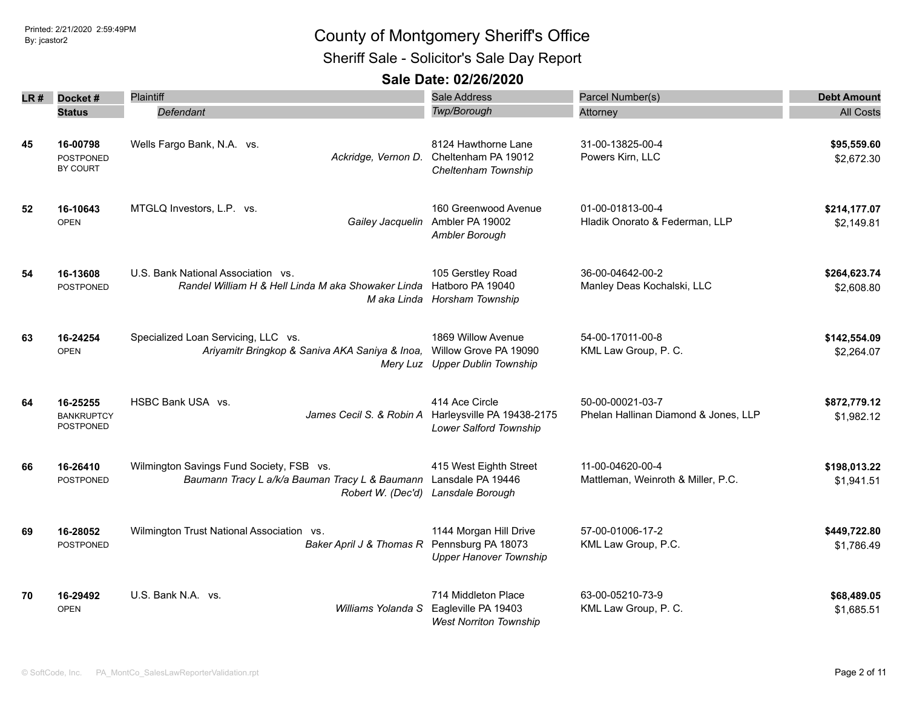Sheriff Sale - Solicitor's Sale Day Report

| LR # | Docket#                                           | Plaintiff                                                                                                       | Sale Address<br>Twp/Borough                                                   | Parcel Number(s)                                         | <b>Debt Amount</b>         |
|------|---------------------------------------------------|-----------------------------------------------------------------------------------------------------------------|-------------------------------------------------------------------------------|----------------------------------------------------------|----------------------------|
|      | <b>Status</b>                                     | Defendant                                                                                                       |                                                                               | Attorney                                                 | <b>All Costs</b>           |
| 45   | 16-00798<br><b>POSTPONED</b><br>BY COURT          | Wells Fargo Bank, N.A. vs.<br>Ackridge, Vernon D.                                                               | 8124 Hawthorne Lane<br>Cheltenham PA 19012<br>Cheltenham Township             | 31-00-13825-00-4<br>Powers Kirn, LLC                     | \$95,559.60<br>\$2,672.30  |
| 52   | 16-10643<br><b>OPEN</b>                           | MTGLQ Investors, L.P. vs.<br>Gailey Jacquelin                                                                   | 160 Greenwood Avenue<br>Ambler PA 19002<br>Ambler Borough                     | 01-00-01813-00-4<br>Hladik Onorato & Federman, LLP       | \$214,177.07<br>\$2,149.81 |
| 54   | 16-13608<br><b>POSTPONED</b>                      | U.S. Bank National Association vs.<br>Randel William H & Hell Linda M aka Showaker Linda<br>M aka Linda         | 105 Gerstley Road<br>Hatboro PA 19040<br>Horsham Township                     | 36-00-04642-00-2<br>Manley Deas Kochalski, LLC           | \$264,623.74<br>\$2,608.80 |
| 63   | 16-24254<br><b>OPEN</b>                           | Specialized Loan Servicing, LLC vs.<br>Ariyamitr Bringkop & Saniva AKA Saniya & Inoa,                           | 1869 Willow Avenue<br>Willow Grove PA 19090<br>Mery Luz Upper Dublin Township | 54-00-17011-00-8<br>KML Law Group, P. C.                 | \$142,554.09<br>\$2,264.07 |
| 64   | 16-25255<br><b>BANKRUPTCY</b><br><b>POSTPONED</b> | HSBC Bank USA vs.<br>James Cecil S. & Robin A                                                                   | 414 Ace Circle<br>Harleysville PA 19438-2175<br>Lower Salford Township        | 50-00-00021-03-7<br>Phelan Hallinan Diamond & Jones, LLP | \$872,779.12<br>\$1,982.12 |
| 66   | 16-26410<br><b>POSTPONED</b>                      | Wilmington Savings Fund Society, FSB vs.<br>Baumann Tracy L a/k/a Bauman Tracy L & Baumann<br>Robert W. (Dec'd) | 415 West Eighth Street<br>Lansdale PA 19446<br>Lansdale Borough               | 11-00-04620-00-4<br>Mattleman, Weinroth & Miller, P.C.   | \$198,013.22<br>\$1,941.51 |
| 69   | 16-28052<br><b>POSTPONED</b>                      | Wilmington Trust National Association vs.<br>Baker April J & Thomas R                                           | 1144 Morgan Hill Drive<br>Pennsburg PA 18073<br><b>Upper Hanover Township</b> | 57-00-01006-17-2<br>KML Law Group, P.C.                  | \$449,722.80<br>\$1,786.49 |
| 70   | 16-29492<br><b>OPEN</b>                           | U.S. Bank N.A. vs.<br>Williams Yolanda S                                                                        | 714 Middleton Place<br>Eagleville PA 19403<br><b>West Norriton Township</b>   | 63-00-05210-73-9<br>KML Law Group, P. C.                 | \$68,489.05<br>\$1,685.51  |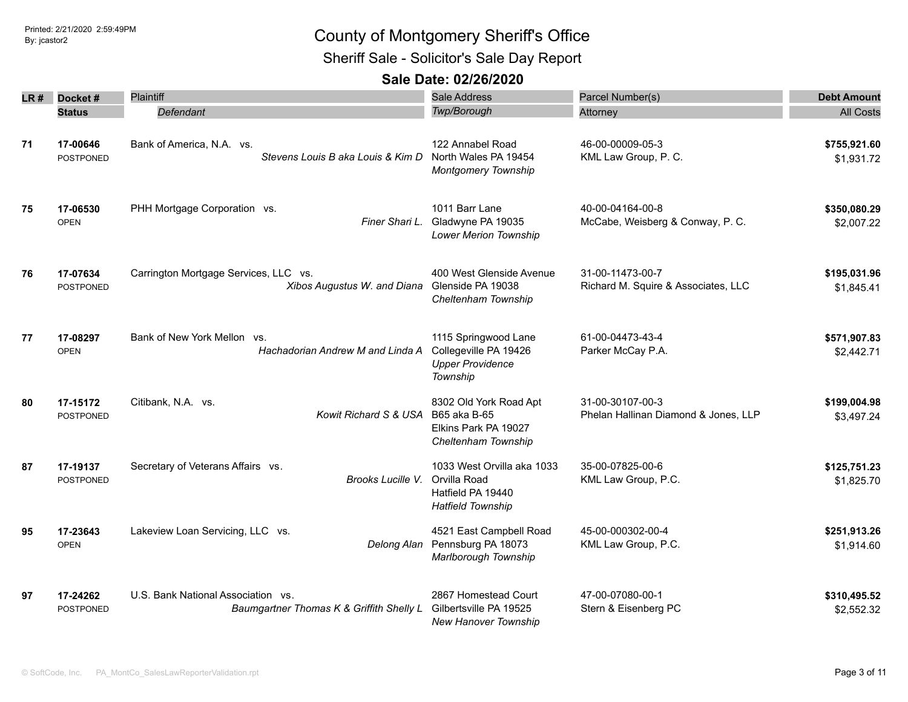Sheriff Sale - Solicitor's Sale Day Report

| LR # | Docket#                      | Plaintiff                                                                      | Sale Address                                                                                | Parcel Number(s)                                         | <b>Debt Amount</b>         |
|------|------------------------------|--------------------------------------------------------------------------------|---------------------------------------------------------------------------------------------|----------------------------------------------------------|----------------------------|
|      | <b>Status</b>                | Defendant                                                                      | Twp/Borough                                                                                 | Attorney                                                 | <b>All Costs</b>           |
| 71   | 17-00646<br><b>POSTPONED</b> | Bank of America, N.A. vs.<br>Stevens Louis B aka Louis & Kim D                 | 122 Annabel Road<br>North Wales PA 19454<br><b>Montgomery Township</b>                      | 46-00-00009-05-3<br>KML Law Group, P. C.                 | \$755,921.60<br>\$1,931.72 |
| 75   | 17-06530<br><b>OPEN</b>      | PHH Mortgage Corporation vs.<br>Finer Shari L.                                 | 1011 Barr Lane<br>Gladwyne PA 19035<br><b>Lower Merion Township</b>                         | 40-00-04164-00-8<br>McCabe, Weisberg & Conway, P. C.     | \$350,080.29<br>\$2,007.22 |
| 76   | 17-07634<br><b>POSTPONED</b> | Carrington Mortgage Services, LLC vs.<br>Xibos Augustus W. and Diana           | 400 West Glenside Avenue<br>Glenside PA 19038<br>Cheltenham Township                        | 31-00-11473-00-7<br>Richard M. Squire & Associates, LLC  | \$195,031.96<br>\$1,845.41 |
| 77   | 17-08297<br><b>OPEN</b>      | Bank of New York Mellon vs.<br>Hachadorian Andrew M and Linda A                | 1115 Springwood Lane<br>Collegeville PA 19426<br><b>Upper Providence</b><br>Township        | 61-00-04473-43-4<br>Parker McCay P.A.                    | \$571,907.83<br>\$2,442.71 |
| 80   | 17-15172<br><b>POSTPONED</b> | Citibank, N.A. vs.<br>Kowit Richard S & USA                                    | 8302 Old York Road Apt<br>B65 aka B-65<br>Elkins Park PA 19027<br>Cheltenham Township       | 31-00-30107-00-3<br>Phelan Hallinan Diamond & Jones, LLP | \$199,004.98<br>\$3,497.24 |
| 87   | 17-19137<br><b>POSTPONED</b> | Secretary of Veterans Affairs vs.<br>Brooks Lucille V.                         | 1033 West Orvilla aka 1033<br>Orvilla Road<br>Hatfield PA 19440<br><b>Hatfield Township</b> | 35-00-07825-00-6<br>KML Law Group, P.C.                  | \$125,751.23<br>\$1,825.70 |
| 95   | 17-23643<br><b>OPEN</b>      | Lakeview Loan Servicing, LLC vs.<br>Delong Alan                                | 4521 East Campbell Road<br>Pennsburg PA 18073<br>Marlborough Township                       | 45-00-000302-00-4<br>KML Law Group, P.C.                 | \$251,913.26<br>\$1,914.60 |
| 97   | 17-24262<br><b>POSTPONED</b> | U.S. Bank National Association vs.<br>Baumgartner Thomas K & Griffith Shelly L | 2867 Homestead Court<br>Gilbertsville PA 19525<br><b>New Hanover Township</b>               | 47-00-07080-00-1<br>Stern & Eisenberg PC                 | \$310,495.52<br>\$2,552.32 |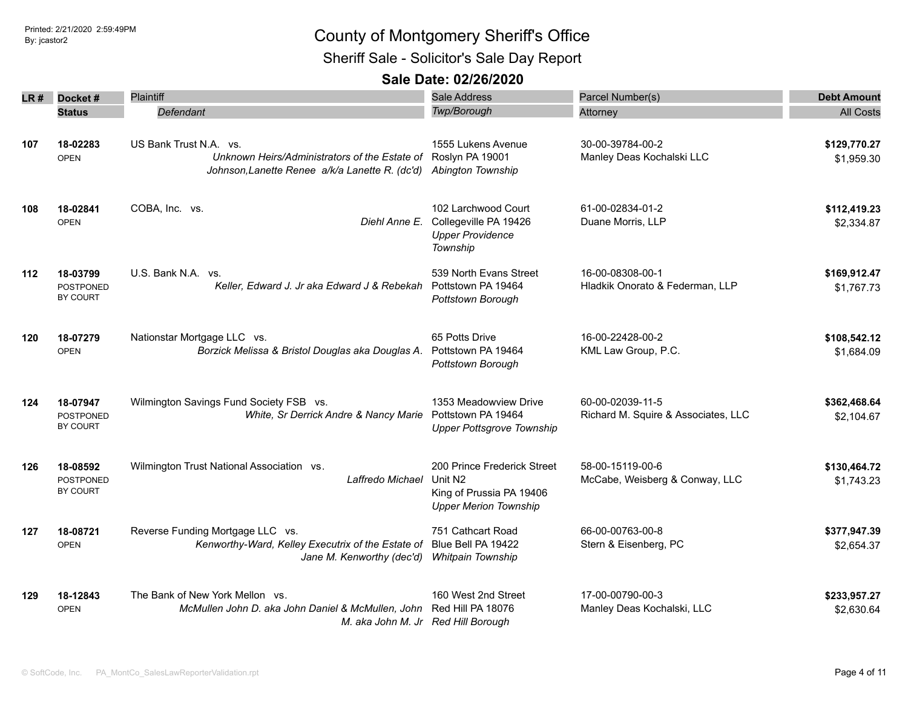Sheriff Sale - Solicitor's Sale Day Report

| LR # | Docket#                                         | Plaintiff                                                                                                                  | Sale Address                                                                                                   | Parcel Number(s)                                        | <b>Debt Amount</b>         |
|------|-------------------------------------------------|----------------------------------------------------------------------------------------------------------------------------|----------------------------------------------------------------------------------------------------------------|---------------------------------------------------------|----------------------------|
|      | <b>Status</b>                                   | Defendant                                                                                                                  | <b>Twp/Borough</b>                                                                                             | Attorney                                                | <b>All Costs</b>           |
| 107  | 18-02283<br><b>OPEN</b>                         | US Bank Trust N.A. vs.<br>Unknown Heirs/Administrators of the Estate of<br>Johnson, Lanette Renee a/k/a Lanette R. (dc'd)  | 1555 Lukens Avenue<br>Roslyn PA 19001<br>Abington Township                                                     | 30-00-39784-00-2<br>Manley Deas Kochalski LLC           | \$129,770.27<br>\$1,959.30 |
| 108  | 18-02841<br><b>OPEN</b>                         | COBA, Inc. vs.<br>Diehl Anne E.                                                                                            | 102 Larchwood Court<br>Collegeville PA 19426<br><b>Upper Providence</b><br>Township                            | 61-00-02834-01-2<br>Duane Morris, LLP                   | \$112,419.23<br>\$2,334.87 |
| 112  | 18-03799<br><b>POSTPONED</b><br>BY COURT        | U.S. Bank N.A. vs.<br>Keller, Edward J. Jr aka Edward J & Rebekah                                                          | 539 North Evans Street<br>Pottstown PA 19464<br>Pottstown Borough                                              | 16-00-08308-00-1<br>Hladkik Onorato & Federman, LLP     | \$169,912.47<br>\$1,767.73 |
| 120  | 18-07279<br><b>OPEN</b>                         | Nationstar Mortgage LLC vs.<br>Borzick Melissa & Bristol Douglas aka Douglas A.                                            | 65 Potts Drive<br>Pottstown PA 19464<br>Pottstown Borough                                                      | 16-00-22428-00-2<br>KML Law Group, P.C.                 | \$108,542.12<br>\$1,684.09 |
| 124  | 18-07947<br><b>POSTPONED</b><br><b>BY COURT</b> | Wilmington Savings Fund Society FSB vs.<br>White, Sr Derrick Andre & Nancy Marie                                           | 1353 Meadowview Drive<br>Pottstown PA 19464<br><b>Upper Pottsgrove Township</b>                                | 60-00-02039-11-5<br>Richard M. Squire & Associates, LLC | \$362,468.64<br>\$2,104.67 |
| 126  | 18-08592<br>POSTPONED<br><b>BY COURT</b>        | Wilmington Trust National Association vs.<br>Laffredo Michael                                                              | 200 Prince Frederick Street<br>Unit N <sub>2</sub><br>King of Prussia PA 19406<br><b>Upper Merion Township</b> | 58-00-15119-00-6<br>McCabe, Weisberg & Conway, LLC      | \$130,464.72<br>\$1,743.23 |
| 127  | 18-08721<br><b>OPEN</b>                         | Reverse Funding Mortgage LLC vs.<br>Kenworthy-Ward, Kelley Executrix of the Estate of<br>Jane M. Kenworthy (dec'd)         | 751 Cathcart Road<br>Blue Bell PA 19422<br><b>Whitpain Township</b>                                            | 66-00-00763-00-8<br>Stern & Eisenberg, PC               | \$377,947.39<br>\$2,654.37 |
| 129  | 18-12843<br><b>OPEN</b>                         | The Bank of New York Mellon vs.<br>McMullen John D. aka John Daniel & McMullen, John<br>M. aka John M. Jr Red Hill Borough | 160 West 2nd Street<br>Red Hill PA 18076                                                                       | 17-00-00790-00-3<br>Manley Deas Kochalski, LLC          | \$233,957.27<br>\$2,630.64 |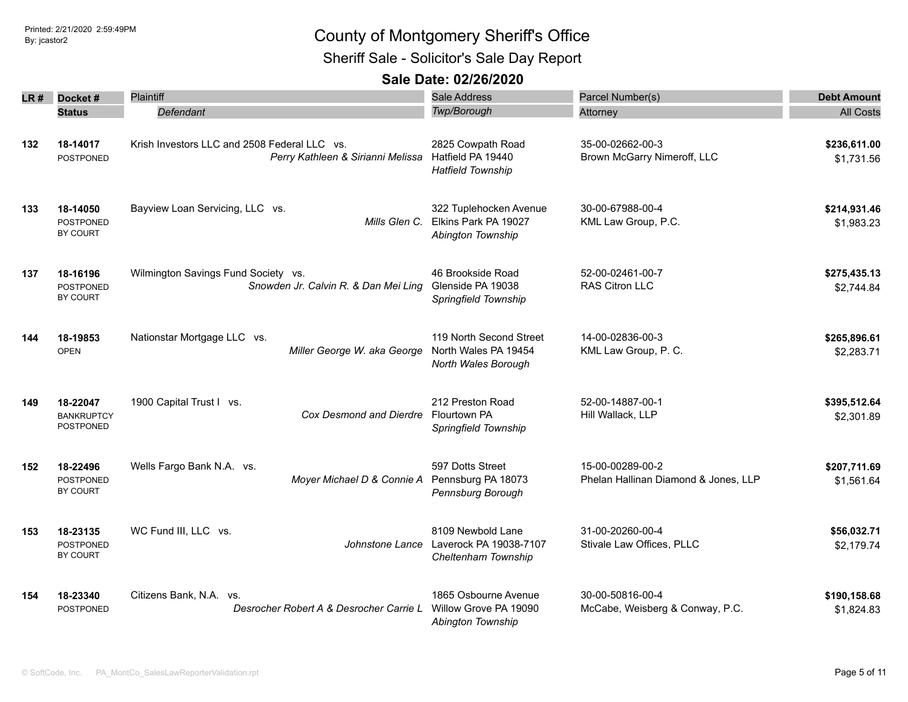Sheriff Sale - Solicitor's Sale Day Report

| LR # | Docket#                                    | <b>Plaintiff</b>                                                                  | Sale Address                                                                      | Parcel Number(s)                                         | <b>Debt Amount</b>         |
|------|--------------------------------------------|-----------------------------------------------------------------------------------|-----------------------------------------------------------------------------------|----------------------------------------------------------|----------------------------|
|      | <b>Status</b>                              | Defendant                                                                         | Twp/Borough                                                                       | Attorney                                                 | <b>All Costs</b>           |
| 132  | 18-14017<br><b>POSTPONED</b>               | Krish Investors LLC and 2508 Federal LLC vs.<br>Perry Kathleen & Sirianni Melissa | 2825 Cowpath Road<br>Hatfield PA 19440<br><b>Hatfield Township</b>                | 35-00-02662-00-3<br>Brown McGarry Nimeroff, LLC          | \$236,611.00<br>\$1,731.56 |
| 133  | 18-14050<br><b>POSTPONED</b><br>BY COURT   | Bayview Loan Servicing, LLC vs.                                                   | 322 Tuplehocken Avenue<br>Mills Glen C. Elkins Park PA 19027<br>Abington Township | 30-00-67988-00-4<br>KML Law Group, P.C.                  | \$214,931.46<br>\$1,983.23 |
| 137  | 18-16196<br><b>POSTPONED</b><br>BY COURT   | Wilmington Savings Fund Society vs.<br>Snowden Jr. Calvin R. & Dan Mei Ling       | 46 Brookside Road<br>Glenside PA 19038<br>Springfield Township                    | 52-00-02461-00-7<br><b>RAS Citron LLC</b>                | \$275,435.13<br>\$2,744.84 |
| 144  | 18-19853<br><b>OPEN</b>                    | Nationstar Mortgage LLC vs.<br>Miller George W. aka George                        | 119 North Second Street<br>North Wales PA 19454<br>North Wales Borough            | 14-00-02836-00-3<br>KML Law Group, P. C.                 | \$265,896.61<br>\$2,283.71 |
| 149  | 18-22047<br><b>BANKRUPTCY</b><br>POSTPONED | 1900 Capital Trust I vs.<br>Cox Desmond and Dierdre                               | 212 Preston Road<br>Flourtown PA<br>Springfield Township                          | 52-00-14887-00-1<br>Hill Wallack, LLP                    | \$395,512.64<br>\$2,301.89 |
| 152  | 18-22496<br><b>POSTPONED</b><br>BY COURT   | Wells Fargo Bank N.A. vs.<br>Moyer Michael D & Connie A                           | 597 Dotts Street<br>Pennsburg PA 18073<br>Pennsburg Borough                       | 15-00-00289-00-2<br>Phelan Hallinan Diamond & Jones, LLP | \$207,711.69<br>\$1,561.64 |
| 153  | 18-23135<br><b>POSTPONED</b><br>BY COURT   | WC Fund III, LLC vs.<br>Johnstone Lance                                           | 8109 Newbold Lane<br>Laverock PA 19038-7107<br>Cheltenham Township                | 31-00-20260-00-4<br>Stivale Law Offices, PLLC            | \$56,032.71<br>\$2,179.74  |
| 154  | 18-23340<br><b>POSTPONED</b>               | Citizens Bank, N.A. vs.<br>Desrocher Robert A & Desrocher Carrie L                | 1865 Osbourne Avenue<br>Willow Grove PA 19090<br><b>Abinaton Township</b>         | 30-00-50816-00-4<br>McCabe, Weisberg & Conway, P.C.      | \$190,158.68<br>\$1,824.83 |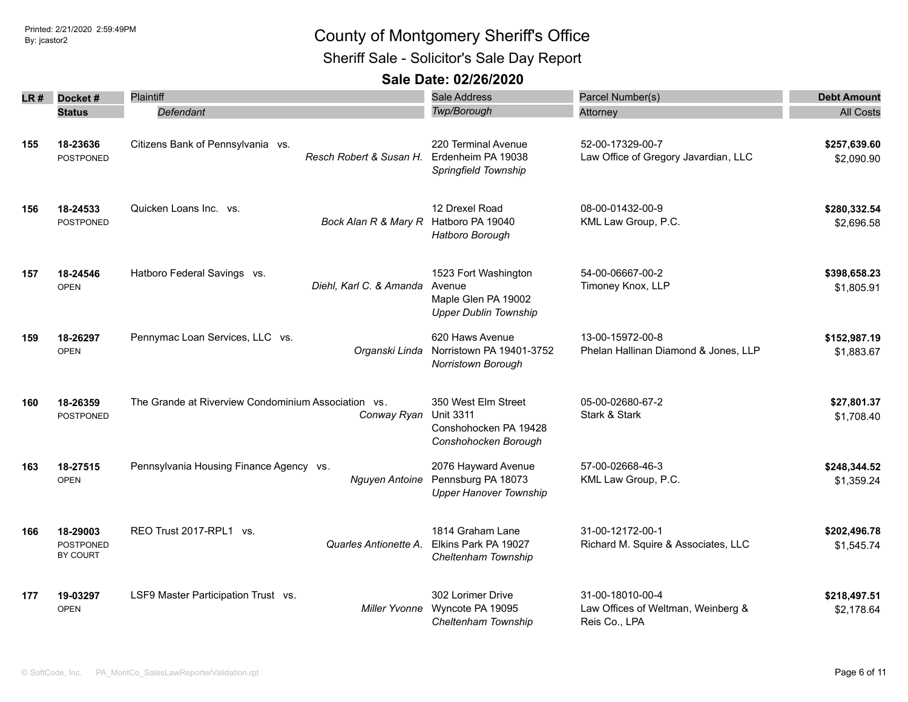Sheriff Sale - Solicitor's Sale Day Report

| LR # | Docket#                                  | <b>Plaintiff</b>                                                   | Sale Address                                                                             | Parcel Number(s)                                                        | <b>Debt Amount</b>         |
|------|------------------------------------------|--------------------------------------------------------------------|------------------------------------------------------------------------------------------|-------------------------------------------------------------------------|----------------------------|
|      | <b>Status</b>                            | Defendant                                                          | Twp/Borough                                                                              | Attorney                                                                | <b>All Costs</b>           |
| 155  | 18-23636<br><b>POSTPONED</b>             | Citizens Bank of Pennsylvania vs.<br>Resch Robert & Susan H.       | 220 Terminal Avenue<br>Erdenheim PA 19038<br>Springfield Township                        | 52-00-17329-00-7<br>Law Office of Gregory Javardian, LLC                | \$257,639.60<br>\$2,090.90 |
| 156  | 18-24533<br><b>POSTPONED</b>             | Quicken Loans Inc. vs.<br>Bock Alan R & Mary R                     | 12 Drexel Road<br>Hatboro PA 19040<br>Hatboro Borough                                    | 08-00-01432-00-9<br>KML Law Group, P.C.                                 | \$280,332.54<br>\$2,696.58 |
| 157  | 18-24546<br><b>OPEN</b>                  | Hatboro Federal Savings vs.<br>Diehl, Karl C. & Amanda             | 1523 Fort Washington<br>Avenue<br>Maple Glen PA 19002<br><b>Upper Dublin Township</b>    | 54-00-06667-00-2<br>Timoney Knox, LLP                                   | \$398,658.23<br>\$1,805.91 |
| 159  | 18-26297<br><b>OPEN</b>                  | Pennymac Loan Services, LLC vs.<br>Organski Linda                  | 620 Haws Avenue<br>Norristown PA 19401-3752<br>Norristown Borough                        | 13-00-15972-00-8<br>Phelan Hallinan Diamond & Jones, LLP                | \$152,987.19<br>\$1,883.67 |
| 160  | 18-26359<br><b>POSTPONED</b>             | The Grande at Riverview Condominium Association vs.<br>Conway Ryan | 350 West Elm Street<br><b>Unit 3311</b><br>Conshohocken PA 19428<br>Conshohocken Borough | 05-00-02680-67-2<br>Stark & Stark                                       | \$27,801.37<br>\$1,708.40  |
| 163  | 18-27515<br><b>OPEN</b>                  | Pennsylvania Housing Finance Agency vs.<br>Nguyen Antoine          | 2076 Hayward Avenue<br>Pennsburg PA 18073<br><b>Upper Hanover Township</b>               | 57-00-02668-46-3<br>KML Law Group, P.C.                                 | \$248,344.52<br>\$1,359.24 |
| 166  | 18-29003<br><b>POSTPONED</b><br>BY COURT | REO Trust 2017-RPL1 vs.<br>Quarles Antionette A.                   | 1814 Graham Lane<br>Elkins Park PA 19027<br>Cheltenham Township                          | 31-00-12172-00-1<br>Richard M. Squire & Associates, LLC                 | \$202,496.78<br>\$1,545.74 |
| 177  | 19-03297<br><b>OPEN</b>                  | LSF9 Master Participation Trust vs.<br>Miller Yvonne               | 302 Lorimer Drive<br>Wyncote PA 19095<br>Cheltenham Township                             | 31-00-18010-00-4<br>Law Offices of Weltman, Weinberg &<br>Reis Co., LPA | \$218,497.51<br>\$2,178.64 |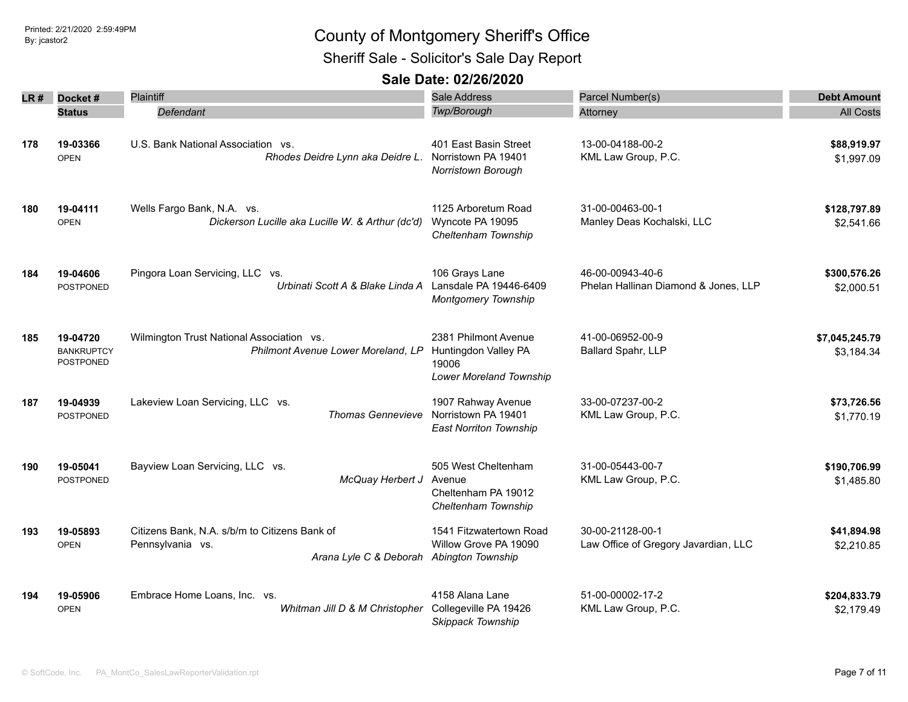Sheriff Sale - Solicitor's Sale Day Report

| LR # | Docket#                                    | Plaintiff                                                                                                     | <b>Sale Address</b>                                                              | Parcel Number(s)                                         | <b>Debt Amount</b>           |
|------|--------------------------------------------|---------------------------------------------------------------------------------------------------------------|----------------------------------------------------------------------------------|----------------------------------------------------------|------------------------------|
|      | <b>Status</b>                              | Defendant                                                                                                     | Twp/Borough                                                                      | Attorney                                                 | <b>All Costs</b>             |
| 178  | 19-03366<br><b>OPEN</b>                    | U.S. Bank National Association vs.<br>Rhodes Deidre Lynn aka Deidre L.                                        | 401 East Basin Street<br>Norristown PA 19401<br>Norristown Borough               | 13-00-04188-00-2<br>KML Law Group, P.C.                  | \$88,919.97<br>\$1,997.09    |
| 180  | 19-04111<br><b>OPEN</b>                    | Wells Fargo Bank, N.A. vs.<br>Dickerson Lucille aka Lucille W. & Arthur (dc'd)                                | 1125 Arboretum Road<br>Wyncote PA 19095<br>Cheltenham Township                   | 31-00-00463-00-1<br>Manley Deas Kochalski, LLC           | \$128,797.89<br>\$2,541.66   |
| 184  | 19-04606<br><b>POSTPONED</b>               | Pingora Loan Servicing, LLC vs.<br>Urbinati Scott A & Blake Linda A                                           | 106 Grays Lane<br>Lansdale PA 19446-6409<br><b>Montgomery Township</b>           | 46-00-00943-40-6<br>Phelan Hallinan Diamond & Jones, LLP | \$300,576.26<br>\$2,000.51   |
| 185  | 19-04720<br><b>BANKRUPTCY</b><br>POSTPONED | Wilmington Trust National Association vs.<br>Philmont Avenue Lower Moreland, LP                               | 2381 Philmont Avenue<br>Huntingdon Valley PA<br>19006<br>Lower Moreland Township | 41-00-06952-00-9<br>Ballard Spahr, LLP                   | \$7,045,245.79<br>\$3,184.34 |
| 187  | 19-04939<br><b>POSTPONED</b>               | Lakeview Loan Servicing, LLC vs.<br><b>Thomas Gennevieve</b>                                                  | 1907 Rahway Avenue<br>Norristown PA 19401<br><b>East Norriton Township</b>       | 33-00-07237-00-2<br>KML Law Group, P.C.                  | \$73,726.56<br>\$1,770.19    |
| 190  | 19-05041<br><b>POSTPONED</b>               | Bayview Loan Servicing, LLC vs.<br>McQuay Herbert J                                                           | 505 West Cheltenham<br>Avenue<br>Cheltenham PA 19012<br>Cheltenham Township      | 31-00-05443-00-7<br>KML Law Group, P.C.                  | \$190,706.99<br>\$1,485.80   |
| 193  | 19-05893<br><b>OPEN</b>                    | Citizens Bank, N.A. s/b/m to Citizens Bank of<br>Pennsylvania vs.<br>Arana Lyle C & Deborah Abington Township | 1541 Fitzwatertown Road<br>Willow Grove PA 19090                                 | 30-00-21128-00-1<br>Law Office of Gregory Javardian, LLC | \$41,894.98<br>\$2,210.85    |
| 194  | 19-05906<br><b>OPEN</b>                    | Embrace Home Loans, Inc. vs.<br>Whitman Jill D & M Christopher                                                | 4158 Alana Lane<br>Collegeville PA 19426<br>Skippack Township                    | 51-00-00002-17-2<br>KML Law Group, P.C.                  | \$204,833.79<br>\$2,179.49   |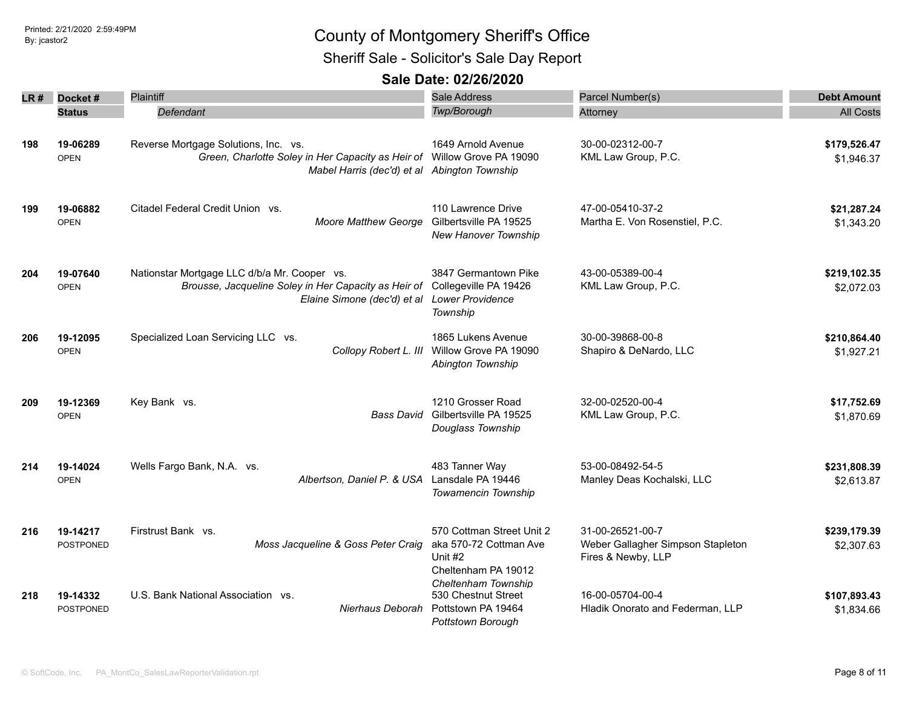Sheriff Sale - Solicitor's Sale Day Report

| LR # | Docket#                      | Plaintiff                                                                                                                                                       | <b>Sale Address</b>                                                                   | Parcel Number(s)                                                            | <b>Debt Amount</b>         |
|------|------------------------------|-----------------------------------------------------------------------------------------------------------------------------------------------------------------|---------------------------------------------------------------------------------------|-----------------------------------------------------------------------------|----------------------------|
|      | <b>Status</b>                | Defendant                                                                                                                                                       | Twp/Borough                                                                           | Attorney                                                                    | <b>All Costs</b>           |
| 198  | 19-06289<br><b>OPEN</b>      | Reverse Mortgage Solutions, Inc. vs.<br>Green, Charlotte Soley in Her Capacity as Heir of Willow Grove PA 19090<br>Mabel Harris (dec'd) et al Abington Township | 1649 Arnold Avenue                                                                    | 30-00-02312-00-7<br>KML Law Group, P.C.                                     | \$179,526.47<br>\$1,946.37 |
| 199  | 19-06882<br><b>OPEN</b>      | Citadel Federal Credit Union vs.<br><b>Moore Matthew George</b>                                                                                                 | 110 Lawrence Drive<br>Gilbertsville PA 19525<br>New Hanover Township                  | 47-00-05410-37-2<br>Martha E. Von Rosenstiel, P.C.                          | \$21,287.24<br>\$1,343.20  |
| 204  | 19-07640<br><b>OPEN</b>      | Nationstar Mortgage LLC d/b/a Mr. Cooper vs.<br>Brousse, Jacqueline Soley in Her Capacity as Heir of<br>Elaine Simone (dec'd) et al                             | 3847 Germantown Pike<br>Collegeville PA 19426<br><b>Lower Providence</b><br>Township  | 43-00-05389-00-4<br>KML Law Group, P.C.                                     | \$219,102.35<br>\$2,072.03 |
| 206  | 19-12095<br><b>OPEN</b>      | Specialized Loan Servicing LLC vs.<br>Collopy Robert L. III                                                                                                     | 1865 Lukens Avenue<br>Willow Grove PA 19090<br>Abington Township                      | 30-00-39868-00-8<br>Shapiro & DeNardo, LLC                                  | \$210,864.40<br>\$1,927.21 |
| 209  | 19-12369<br><b>OPEN</b>      | Key Bank vs.<br>Bass David                                                                                                                                      | 1210 Grosser Road<br>Gilbertsville PA 19525<br>Douglass Township                      | 32-00-02520-00-4<br>KML Law Group, P.C.                                     | \$17,752.69<br>\$1,870.69  |
| 214  | 19-14024<br><b>OPEN</b>      | Wells Fargo Bank, N.A. vs.<br>Albertson, Daniel P. & USA                                                                                                        | 483 Tanner Way<br>Lansdale PA 19446<br>Towamencin Township                            | 53-00-08492-54-5<br>Manley Deas Kochalski, LLC                              | \$231,808.39<br>\$2,613.87 |
| 216  | 19-14217<br>POSTPONED        | Firstrust Bank vs.<br>Moss Jacqueline & Goss Peter Craig                                                                                                        | 570 Cottman Street Unit 2<br>aka 570-72 Cottman Ave<br>Unit #2<br>Cheltenham PA 19012 | 31-00-26521-00-7<br>Weber Gallagher Simpson Stapleton<br>Fires & Newby, LLP | \$239,179.39<br>\$2,307.63 |
| 218  | 19-14332<br><b>POSTPONED</b> | U.S. Bank National Association vs.<br>Nierhaus Deborah                                                                                                          | Cheltenham Township<br>530 Chestnut Street<br>Pottstown PA 19464<br>Pottstown Borough | 16-00-05704-00-4<br>Hladik Onorato and Federman, LLP                        | \$107,893.43<br>\$1,834.66 |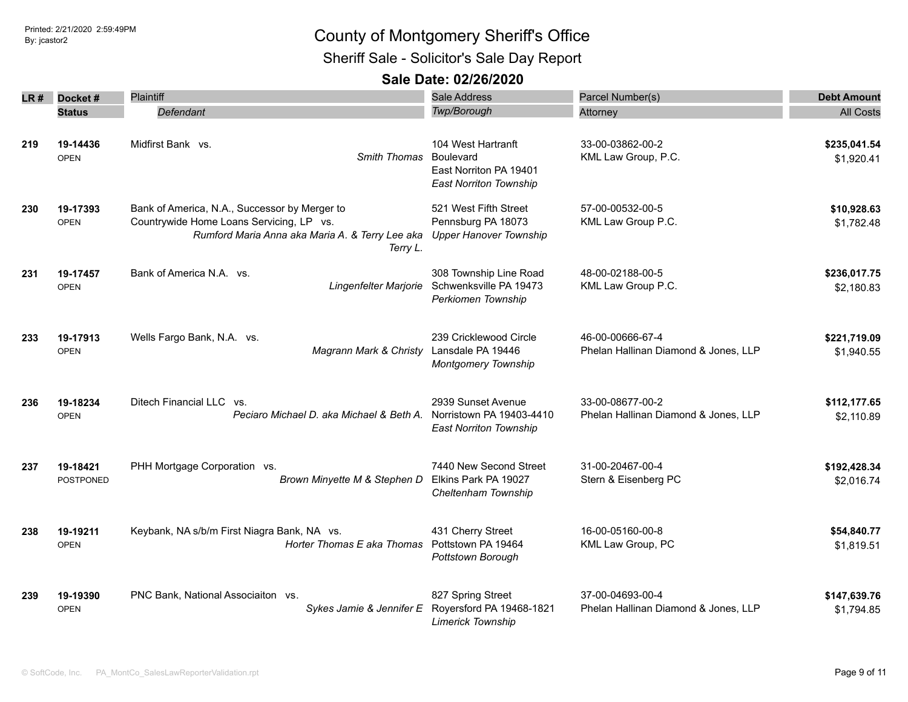Sheriff Sale - Solicitor's Sale Day Report

| LR # | Docket#                      | Plaintiff                                                                                                                                                | <b>Sale Address</b>                                                                        | Parcel Number(s)                                         | <b>Debt Amount</b>         |
|------|------------------------------|----------------------------------------------------------------------------------------------------------------------------------------------------------|--------------------------------------------------------------------------------------------|----------------------------------------------------------|----------------------------|
|      | <b>Status</b>                | Defendant                                                                                                                                                | Twp/Borough                                                                                | Attorney                                                 | <b>All Costs</b>           |
| 219  | 19-14436<br><b>OPEN</b>      | Midfirst Bank vs.<br>Smith Thomas                                                                                                                        | 104 West Hartranft<br>Boulevard<br>East Norriton PA 19401<br><b>East Norriton Township</b> | 33-00-03862-00-2<br>KML Law Group, P.C.                  | \$235,041.54<br>\$1,920.41 |
| 230  | 19-17393<br><b>OPEN</b>      | Bank of America, N.A., Successor by Merger to<br>Countrywide Home Loans Servicing, LP vs.<br>Rumford Maria Anna aka Maria A. & Terry Lee aka<br>Terry L. | 521 West Fifth Street<br>Pennsburg PA 18073<br><b>Upper Hanover Township</b>               | 57-00-00532-00-5<br>KML Law Group P.C.                   | \$10,928.63<br>\$1,782.48  |
| 231  | 19-17457<br><b>OPEN</b>      | Bank of America N.A. vs.<br>Lingenfelter Marjorie                                                                                                        | 308 Township Line Road<br>Schwenksville PA 19473<br>Perkiomen Township                     | 48-00-02188-00-5<br>KML Law Group P.C.                   | \$236,017.75<br>\$2,180.83 |
| 233  | 19-17913<br><b>OPEN</b>      | Wells Fargo Bank, N.A. vs.<br>Magrann Mark & Christy                                                                                                     | 239 Cricklewood Circle<br>Lansdale PA 19446<br>Montgomery Township                         | 46-00-00666-67-4<br>Phelan Hallinan Diamond & Jones, LLP | \$221,719.09<br>\$1,940.55 |
| 236  | 19-18234<br><b>OPEN</b>      | Ditech Financial LLC<br>VS.<br>Peciaro Michael D. aka Michael & Beth A.                                                                                  | 2939 Sunset Avenue<br>Norristown PA 19403-4410<br><b>East Norriton Township</b>            | 33-00-08677-00-2<br>Phelan Hallinan Diamond & Jones, LLP | \$112,177.65<br>\$2,110.89 |
| 237  | 19-18421<br><b>POSTPONED</b> | PHH Mortgage Corporation vs.<br>Brown Minyette M & Stephen D                                                                                             | 7440 New Second Street<br>Elkins Park PA 19027<br>Cheltenham Township                      | 31-00-20467-00-4<br>Stern & Eisenberg PC                 | \$192,428.34<br>\$2,016.74 |
| 238  | 19-19211<br><b>OPEN</b>      | Keybank, NA s/b/m First Niagra Bank, NA vs.<br>Horter Thomas E aka Thomas                                                                                | 431 Cherry Street<br>Pottstown PA 19464<br>Pottstown Borough                               | 16-00-05160-00-8<br>KML Law Group, PC                    | \$54,840.77<br>\$1,819.51  |
| 239  | 19-19390<br><b>OPEN</b>      | PNC Bank, National Associaiton vs.<br>Sykes Jamie & Jennifer E                                                                                           | 827 Spring Street<br>Royersford PA 19468-1821<br><b>Limerick Township</b>                  | 37-00-04693-00-4<br>Phelan Hallinan Diamond & Jones, LLP | \$147,639.76<br>\$1,794.85 |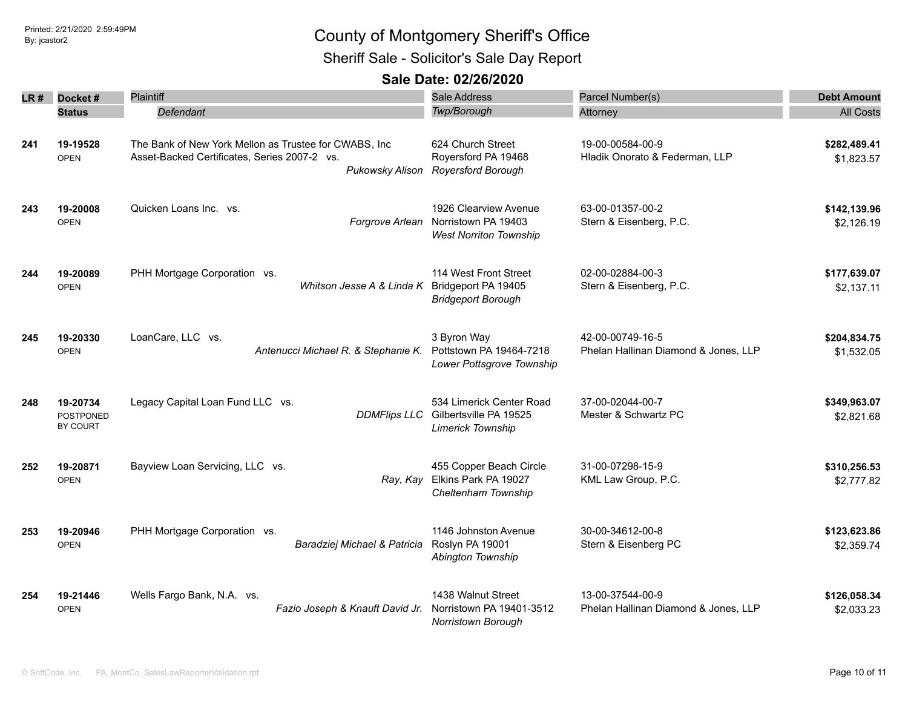Sheriff Sale - Solicitor's Sale Day Report

| LR # | Docket#                                  | Plaintiff                                                                                                                | Sale Address                                                                    | Parcel Number(s)                                         | <b>Debt Amount</b>         |
|------|------------------------------------------|--------------------------------------------------------------------------------------------------------------------------|---------------------------------------------------------------------------------|----------------------------------------------------------|----------------------------|
|      | <b>Status</b>                            | Defendant                                                                                                                | Twp/Borough                                                                     | Attorney                                                 | <b>All Costs</b>           |
| 241  | 19-19528<br><b>OPEN</b>                  | The Bank of New York Mellon as Trustee for CWABS, Inc<br>Asset-Backed Certificates, Series 2007-2 vs.<br>Pukowsky Alison | 624 Church Street<br>Royersford PA 19468<br>Royersford Borough                  | 19-00-00584-00-9<br>Hladik Onorato & Federman, LLP       | \$282,489.41<br>\$1,823.57 |
| 243  | 19-20008<br><b>OPEN</b>                  | Quicken Loans Inc. vs.<br>Forgrove Arlean                                                                                | 1926 Clearview Avenue<br>Norristown PA 19403<br><b>West Norriton Township</b>   | 63-00-01357-00-2<br>Stern & Eisenberg, P.C.              | \$142,139.96<br>\$2,126.19 |
| 244  | 19-20089<br><b>OPEN</b>                  | PHH Mortgage Corporation vs.<br>Whitson Jesse A & Linda K                                                                | 114 West Front Street<br>Bridgeport PA 19405<br><b>Bridgeport Borough</b>       | 02-00-02884-00-3<br>Stern & Eisenberg, P.C.              | \$177,639.07<br>\$2,137.11 |
| 245  | 19-20330<br><b>OPEN</b>                  | LoanCare, LLC vs.<br>Antenucci Michael R. & Stephanie K.                                                                 | 3 Byron Way<br>Pottstown PA 19464-7218<br>Lower Pottsgrove Township             | 42-00-00749-16-5<br>Phelan Hallinan Diamond & Jones, LLP | \$204,834.75<br>\$1,532.05 |
| 248  | 19-20734<br><b>POSTPONED</b><br>BY COURT | Legacy Capital Loan Fund LLC vs.<br><b>DDMFlips LLC</b>                                                                  | 534 Limerick Center Road<br>Gilbertsville PA 19525<br><b>Limerick Township</b>  | 37-00-02044-00-7<br>Mester & Schwartz PC                 | \$349,963.07<br>\$2,821.68 |
| 252  | 19-20871<br><b>OPEN</b>                  | Bayview Loan Servicing, LLC vs.                                                                                          | 455 Copper Beach Circle<br>Ray, Kay Elkins Park PA 19027<br>Cheltenham Township | 31-00-07298-15-9<br>KML Law Group, P.C.                  | \$310,256.53<br>\$2,777.82 |
| 253  | 19-20946<br><b>OPEN</b>                  | PHH Mortgage Corporation vs.<br>Baradziej Michael & Patricia                                                             | 1146 Johnston Avenue<br>Roslyn PA 19001<br>Abington Township                    | 30-00-34612-00-8<br>Stern & Eisenberg PC                 | \$123,623.86<br>\$2,359.74 |
| 254  | 19-21446<br><b>OPEN</b>                  | Wells Fargo Bank, N.A. vs.<br>Fazio Joseph & Knauft David Jr.                                                            | 1438 Walnut Street<br>Norristown PA 19401-3512<br>Norristown Borough            | 13-00-37544-00-9<br>Phelan Hallinan Diamond & Jones, LLP | \$126,058.34<br>\$2,033.23 |